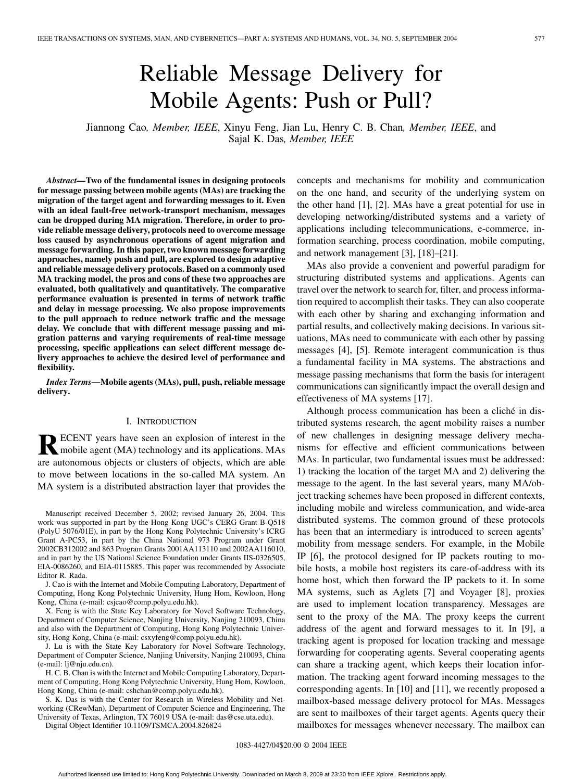# Reliable Message Delivery for Mobile Agents: Push or Pull?

Jiannong Cao*, Member, IEEE*, Xinyu Feng, Jian Lu, Henry C. B. Chan*, Member, IEEE*, and Sajal K. Das*, Member, IEEE*

*Abstract—***Two of the fundamental issues in designing protocols for message passing between mobile agents (MAs) are tracking the migration of the target agent and forwarding messages to it. Even with an ideal fault-free network-transport mechanism, messages can be dropped during MA migration. Therefore, in order to provide reliable message delivery, protocols need to overcome message loss caused by asynchronous operations of agent migration and message forwarding. In this paper, two known message forwarding approaches, namely push and pull, are explored to design adaptive and reliable message delivery protocols. Based on a commonly used MA tracking model, the pros and cons of these two approaches are evaluated, both qualitatively and quantitatively. The comparative performance evaluation is presented in terms of network traffic and delay in message processing. We also propose improvements to the pull approach to reduce network traffic and the message delay. We conclude that with different message passing and migration patterns and varying requirements of real-time message processing, specific applications can select different message delivery approaches to achieve the desired level of performance and flexibility.**

*Index Terms—***Mobile agents (MAs), pull, push, reliable message delivery.**

# I. INTRODUCTION

**RECENT** years have seen an explosion of interest in the mobile agent (MA) technology and its applications. MAs are autonomous objects or clusters of objects, which are able to move between locations in the so-called MA system. An MA system is a distributed abstraction layer that provides the

Manuscript received December 5, 2002; revised January 26, 2004. This work was supported in part by the Hong Kong UGC's CERG Grant B-Q518 (PolyU 5076/01E), in part by the Hong Kong Polytechnic University's ICRG Grant A-PC53, in part by the China National 973 Program under Grant 2002CB312002 and 863 Program Grants 2001AA113110 and 2002AA116010, and in part by the US National Science Foundation under Grants IIS-0326505, EIA-0086260, and EIA-0115885. This paper was recommended by Associate Editor R. Rada.

J. Cao is with the Internet and Mobile Computing Laboratory, Department of Computing, Hong Kong Polytechnic University, Hung Hom, Kowloon, Hong Kong, China (e-mail: csjcao@comp.polyu.edu.hk).

X. Feng is with the State Key Laboratory for Novel Software Technology, Department of Computer Science, Nanjing University, Nanjing 210093, China and also with the Department of Computing, Hong Kong Polytechnic University, Hong Kong, China (e-mail: csxyfeng@comp.polyu.edu.hk).

J. Lu is with the State Key Laboratory for Novel Software Technology, Department of Computer Science, Nanjing University, Nanjing 210093, China (e-mail: lj@nju.edu.cn).

H. C. B. Chan is with the Internet and Mobile Computing Laboratory, Department of Computing, Hong Kong Polytechnic University, Hung Hom, Kowloon, Hong Kong, China (e-mail: cshchan@comp.polyu.edu.hk).

S. K. Das is with the Center for Research in Wireless Mobility and Networking (CRewMan), Department of Computer Science and Engineering, The University of Texas, Arlington, TX 76019 USA (e-mail: das@cse.uta.edu).

Digital Object Identifier 10.1109/TSMCA.2004.826824

concepts and mechanisms for mobility and communication on the one hand, and security of the underlying system on the other hand [[1\]](#page-9-0), [\[2](#page-9-0)]. MAs have a great potential for use in developing networking/distributed systems and a variety of applications including telecommunications, e-commerce, information searching, process coordination, mobile computing, and network management [\[3](#page-9-0)], [\[18](#page-9-0)]–[[21\]](#page-9-0).

MAs also provide a convenient and powerful paradigm for structuring distributed systems and applications. Agents can travel over the network to search for, filter, and process information required to accomplish their tasks. They can also cooperate with each other by sharing and exchanging information and partial results, and collectively making decisions. In various situations, MAs need to communicate with each other by passing messages [\[4](#page-9-0)], [[5](#page-9-0)]. Remote interagent communication is thus a fundamental facility in MA systems. The abstractions and message passing mechanisms that form the basis for interagent communications can significantly impact the overall design and effectiveness of MA systems [[17\]](#page-9-0).

Although process communication has been a cliché in distributed systems research, the agent mobility raises a number of new challenges in designing message delivery mechanisms for effective and efficient communications between MAs. In particular, two fundamental issues must be addressed: 1) tracking the location of the target MA and 2) delivering the message to the agent. In the last several years, many MA/object tracking schemes have been proposed in different contexts, including mobile and wireless communication, and wide-area distributed systems. The common ground of these protocols has been that an intermediary is introduced to screen agents' mobility from message senders. For example, in the Mobile IP [[6\]](#page-9-0), the protocol designed for IP packets routing to mobile hosts, a mobile host registers its care-of-address with its home host, which then forward the IP packets to it. In some MA systems, such as Aglets [[7\]](#page-9-0) and Voyager [[8\]](#page-9-0), proxies are used to implement location transparency. Messages are sent to the proxy of the MA. The proxy keeps the current address of the agent and forward messages to it. In [\[9](#page-9-0)], a tracking agent is proposed for location tracking and message forwarding for cooperating agents. Several cooperating agents can share a tracking agent, which keeps their location information. The tracking agent forward incoming messages to the corresponding agents. In [\[10](#page-9-0)] and [\[11](#page-9-0)], we recently proposed a mailbox-based message delivery protocol for MAs. Messages are sent to mailboxes of their target agents. Agents query their mailboxes for messages whenever necessary. The mailbox can

1083-4427/04\$20.00 © 2004 IEEE

Authorized licensed use limited to: Hong Kong Polytechnic University. Downloaded on March 8, 2009 at 23:30 from IEEE Xplore. Restrictions apply.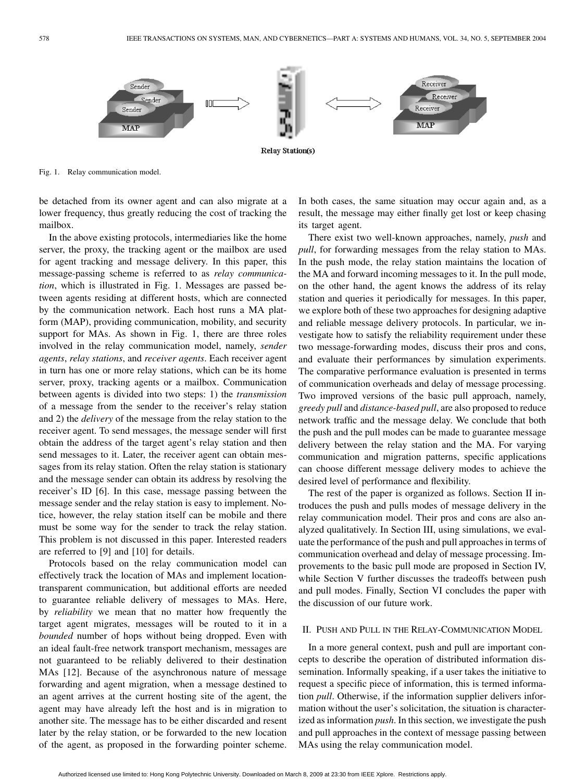

Fig. 1. Relay communication model.

be detached from its owner agent and can also migrate at a lower frequency, thus greatly reducing the cost of tracking the mailbox.

In the above existing protocols, intermediaries like the home server, the proxy, the tracking agent or the mailbox are used for agent tracking and message delivery. In this paper, this message-passing scheme is referred to as *relay communication*, which is illustrated in Fig. 1. Messages are passed between agents residing at different hosts, which are connected by the communication network. Each host runs a MA platform (MAP), providing communication, mobility, and security support for MAs. As shown in Fig. 1, there are three roles involved in the relay communication model, namely, *sender agents*, *relay stations*, and *receiver agents*. Each receiver agent in turn has one or more relay stations, which can be its home server, proxy, tracking agents or a mailbox. Communication between agents is divided into two steps: 1) the *transmission* of a message from the sender to the receiver's relay station and 2) the *delivery* of the message from the relay station to the receiver agent. To send messages, the message sender will first obtain the address of the target agent's relay station and then send messages to it. Later, the receiver agent can obtain messages from its relay station. Often the relay station is stationary and the message sender can obtain its address by resolving the receiver's ID [\[6](#page-9-0)]. In this case, message passing between the message sender and the relay station is easy to implement. Notice, however, the relay station itself can be mobile and there must be some way for the sender to track the relay station. This problem is not discussed in this paper. Interested readers are referred to [\[9](#page-9-0)] and [\[10](#page-9-0)] for details.

Protocols based on the relay communication model can effectively track the location of MAs and implement locationtransparent communication, but additional efforts are needed to guarantee reliable delivery of messages to MAs. Here, by *reliability* we mean that no matter how frequently the target agent migrates, messages will be routed to it in a *bounded* number of hops without being dropped. Even with an ideal fault-free network transport mechanism, messages are not guaranteed to be reliably delivered to their destination MAs [\[12](#page-9-0)]. Because of the asynchronous nature of message forwarding and agent migration, when a message destined to an agent arrives at the current hosting site of the agent, the agent may have already left the host and is in migration to another site. The message has to be either discarded and resent later by the relay station, or be forwarded to the new location of the agent, as proposed in the forwarding pointer scheme.

In both cases, the same situation may occur again and, as a result, the message may either finally get lost or keep chasing its target agent.

There exist two well-known approaches, namely, *push* and *pull*, for forwarding messages from the relay station to MAs. In the push mode, the relay station maintains the location of the MA and forward incoming messages to it. In the pull mode, on the other hand, the agent knows the address of its relay station and queries it periodically for messages. In this paper, we explore both of these two approaches for designing adaptive and reliable message delivery protocols. In particular, we investigate how to satisfy the reliability requirement under these two message-forwarding modes, discuss their pros and cons, and evaluate their performances by simulation experiments. The comparative performance evaluation is presented in terms of communication overheads and delay of message processing. Two improved versions of the basic pull approach, namely, *greedy pull* and *distance-based pull*, are also proposed to reduce network traffic and the message delay. We conclude that both the push and the pull modes can be made to guarantee message delivery between the relay station and the MA. For varying communication and migration patterns, specific applications can choose different message delivery modes to achieve the desired level of performance and flexibility.

The rest of the paper is organized as follows. Section II introduces the push and pulls modes of message delivery in the relay communication model. Their pros and cons are also analyzed qualitatively. In Section III, using simulations, we evaluate the performance of the push and pull approaches in terms of communication overhead and delay of message processing. Improvements to the basic pull mode are proposed in Section IV, while Section V further discusses the tradeoffs between push and pull modes. Finally, Section VI concludes the paper with the discussion of our future work.

# II. PUSH AND PULL IN THE RELAY-COMMUNICATION MODEL

In a more general context, push and pull are important concepts to describe the operation of distributed information dissemination. Informally speaking, if a user takes the initiative to request a specific piece of information, this is termed information *pull*. Otherwise, if the information supplier delivers information without the user's solicitation, the situation is characterized as information *push*. In this section, we investigate the push and pull approaches in the context of message passing between MAs using the relay communication model.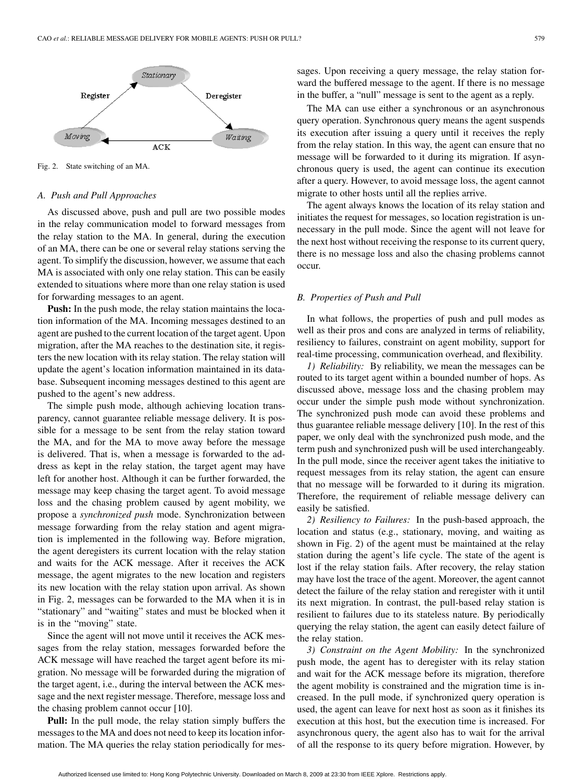

Fig. 2. State switching of an MA.

# *A. Push and Pull Approaches*

As discussed above, push and pull are two possible modes in the relay communication model to forward messages from the relay station to the MA. In general, during the execution of an MA, there can be one or several relay stations serving the agent. To simplify the discussion, however, we assume that each MA is associated with only one relay station. This can be easily extended to situations where more than one relay station is used for forwarding messages to an agent.

**Push:** In the push mode, the relay station maintains the location information of the MA. Incoming messages destined to an agent are pushed to the current location of the target agent. Upon migration, after the MA reaches to the destination site, it registers the new location with its relay station. The relay station will update the agent's location information maintained in its database. Subsequent incoming messages destined to this agent are pushed to the agent's new address.

The simple push mode, although achieving location transparency, cannot guarantee reliable message delivery. It is possible for a message to be sent from the relay station toward the MA, and for the MA to move away before the message is delivered. That is, when a message is forwarded to the address as kept in the relay station, the target agent may have left for another host. Although it can be further forwarded, the message may keep chasing the target agent. To avoid message loss and the chasing problem caused by agent mobility, we propose a *synchronized push* mode. Synchronization between message forwarding from the relay station and agent migration is implemented in the following way. Before migration, the agent deregisters its current location with the relay station and waits for the ACK message. After it receives the ACK message, the agent migrates to the new location and registers its new location with the relay station upon arrival. As shown in Fig. 2, messages can be forwarded to the MA when it is in "stationary" and "waiting" states and must be blocked when it is in the "moving" state.

Since the agent will not move until it receives the ACK messages from the relay station, messages forwarded before the ACK message will have reached the target agent before its migration. No message will be forwarded during the migration of the target agent, i.e., during the interval between the ACK message and the next register message. Therefore, message loss and the chasing problem cannot occur [[10\]](#page-9-0).

**Pull:** In the pull mode, the relay station simply buffers the messages to the MA and does not need to keep its location information. The MA queries the relay station periodically for messages. Upon receiving a query message, the relay station forward the buffered message to the agent. If there is no message in the buffer, a "null" message is sent to the agent as a reply.

The MA can use either a synchronous or an asynchronous query operation. Synchronous query means the agent suspends its execution after issuing a query until it receives the reply from the relay station. In this way, the agent can ensure that no message will be forwarded to it during its migration. If asynchronous query is used, the agent can continue its execution after a query. However, to avoid message loss, the agent cannot migrate to other hosts until all the replies arrive.

The agent always knows the location of its relay station and initiates the request for messages, so location registration is unnecessary in the pull mode. Since the agent will not leave for the next host without receiving the response to its current query, there is no message loss and also the chasing problems cannot occur.

# *B. Properties of Push and Pull*

In what follows, the properties of push and pull modes as well as their pros and cons are analyzed in terms of reliability, resiliency to failures, constraint on agent mobility, support for real-time processing, communication overhead, and flexibility.

*1) Reliability:* By reliability, we mean the messages can be routed to its target agent within a bounded number of hops. As discussed above, message loss and the chasing problem may occur under the simple push mode without synchronization. The synchronized push mode can avoid these problems and thus guarantee reliable message delivery [\[10](#page-9-0)]. In the rest of this paper, we only deal with the synchronized push mode, and the term push and synchronized push will be used interchangeably. In the pull mode, since the receiver agent takes the initiative to request messages from its relay station, the agent can ensure that no message will be forwarded to it during its migration. Therefore, the requirement of reliable message delivery can easily be satisfied.

*2) Resiliency to Failures:* In the push-based approach, the location and status (e.g., stationary, moving, and waiting as shown in Fig. 2) of the agent must be maintained at the relay station during the agent's life cycle. The state of the agent is lost if the relay station fails. After recovery, the relay station may have lost the trace of the agent. Moreover, the agent cannot detect the failure of the relay station and reregister with it until its next migration. In contrast, the pull-based relay station is resilient to failures due to its stateless nature. By periodically querying the relay station, the agent can easily detect failure of the relay station.

*3) Constraint on the Agent Mobility:* In the synchronized push mode, the agent has to deregister with its relay station and wait for the ACK message before its migration, therefore the agent mobility is constrained and the migration time is increased. In the pull mode, if synchronized query operation is used, the agent can leave for next host as soon as it finishes its execution at this host, but the execution time is increased. For asynchronous query, the agent also has to wait for the arrival of all the response to its query before migration. However, by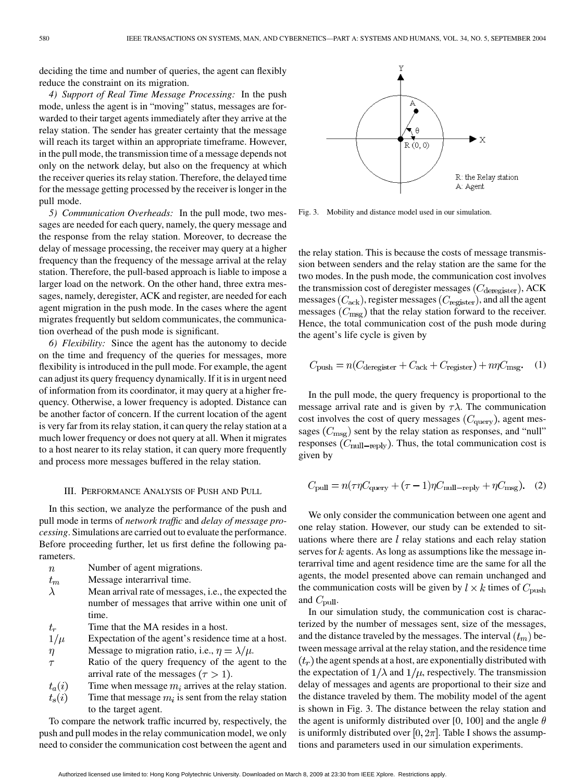deciding the time and number of queries, the agent can flexibly reduce the constraint on its migration.

*4) Support of Real Time Message Processing:* In the push mode, unless the agent is in "moving" status, messages are forwarded to their target agents immediately after they arrive at the relay station. The sender has greater certainty that the message will reach its target within an appropriate timeframe. However, in the pull mode, the transmission time of a message depends not only on the network delay, but also on the frequency at which the receiver queries its relay station. Therefore, the delayed time for the message getting processed by the receiver is longer in the pull mode.

*5) Communication Overheads:* In the pull mode, two messages are needed for each query, namely, the query message and the response from the relay station. Moreover, to decrease the delay of message processing, the receiver may query at a higher frequency than the frequency of the message arrival at the relay station. Therefore, the pull-based approach is liable to impose a larger load on the network. On the other hand, three extra messages, namely, deregister, ACK and register, are needed for each agent migration in the push mode. In the cases where the agent migrates frequently but seldom communicates, the communication overhead of the push mode is significant.

*6) Flexibility:* Since the agent has the autonomy to decide on the time and frequency of the queries for messages, more flexibility is introduced in the pull mode. For example, the agent can adjust its query frequency dynamically. If it is in urgent need of information from its coordinator, it may query at a higher frequency. Otherwise, a lower frequency is adopted. Distance can be another factor of concern. If the current location of the agent is very far from its relay station, it can query the relay station at a much lower frequency or does not query at all. When it migrates to a host nearer to its relay station, it can query more frequently and process more messages buffered in the relay station.

#### III. PERFORMANCE ANALYSIS OF PUSH AND PULL

In this section, we analyze the performance of the push and pull mode in terms of *network traffic* and *delay of message processing*. Simulations are carried out to evaluate the performance. Before proceeding further, let us first define the following parameters.

- $\overline{n}$ Number of agent migrations.
- $t_{m}$ Message interarrival time.
- $\lambda$ Mean arrival rate of messages, i.e., the expected the number of messages that arrive within one unit of time.
- Time that the MA resides in a host.  $t_r$

$$
1/\mu
$$
 Expectation of the agent's residence time at a host.

- $\eta$ Message to migration ratio, i.e.,  $\eta = \lambda/\mu$ .
- Ratio of the query frequency of the agent to the  $\tau$ arrival rate of the messages ( $\tau > 1$ ).
- $t_a(i)$ Time when message  $m_i$  arrives at the relay station.
- $t_s(i)$ Time that message  $m_i$  is sent from the relay station to the target agent.

To compare the network traffic incurred by, respectively, the push and pull modes in the relay communication model, we only need to consider the communication cost between the agent and



Fig. 3. Mobility and distance model used in our simulation.

the relay station. This is because the costs of message transmission between senders and the relay station are the same for the two modes. In the push mode, the communication cost involves the transmission cost of deregister messages (  $C_{\rm deregister}$  ), ACK messages  $(C_{ack})$ , register messages  $(C_{register})$ , and all the agent messages  $(C_{\text{msg}})$  that the relay station forward to the receiver. Hence, the total communication cost of the push mode during the agent's life cycle is given by

$$
C_{\text{push}} = n(C_{\text{deregister}} + C_{\text{ack}} + C_{\text{register}}) + n\eta C_{\text{msg}}.\tag{1}
$$

In the pull mode, the query frequency is proportional to the message arrival rate and is given by  $\tau \lambda$ . The communication cost involves the cost of query messages  $(C_{\text{query}})$ , agent messages  $(C_{\text{msg}})$  sent by the relay station as responses, and "null" responses  $(C_{\text{null-reply}})$ . Thus, the total communication cost is given by

$$
C_{\text{pull}} = n(\tau \eta C_{\text{query}} + (\tau - 1)\eta C_{\text{null-reply}} + \eta C_{\text{msg}}). \quad (2)
$$

We only consider the communication between one agent and one relay station. However, our study can be extended to situations where there are  $l$  relay stations and each relay station serves for  $k$  agents. As long as assumptions like the message interarrival time and agent residence time are the same for all the agents, the model presented above can remain unchanged and the communication costs will be given by  $l \times k$  times of  $C_{\text{push}}$ and  $C_{\text{pull}}$ .

In our simulation study, the communication cost is characterized by the number of messages sent, size of the messages, and the distance traveled by the messages. The interval  $(t_m)$  between message arrival at the relay station, and the residence time  $(t_r)$  the agent spends at a host, are exponentially distributed with the expectation of  $1/\lambda$  and  $1/\mu$ , respectively. The transmission delay of messages and agents are proportional to their size and the distance traveled by them. The mobility model of the agent is shown in Fig. 3. The distance between the relay station and the agent is uniformly distributed over [0, 100] and the angle  $\theta$ is uniformly distributed over  $[0, 2\pi]$ . Table I shows the assumptions and parameters used in our simulation experiments.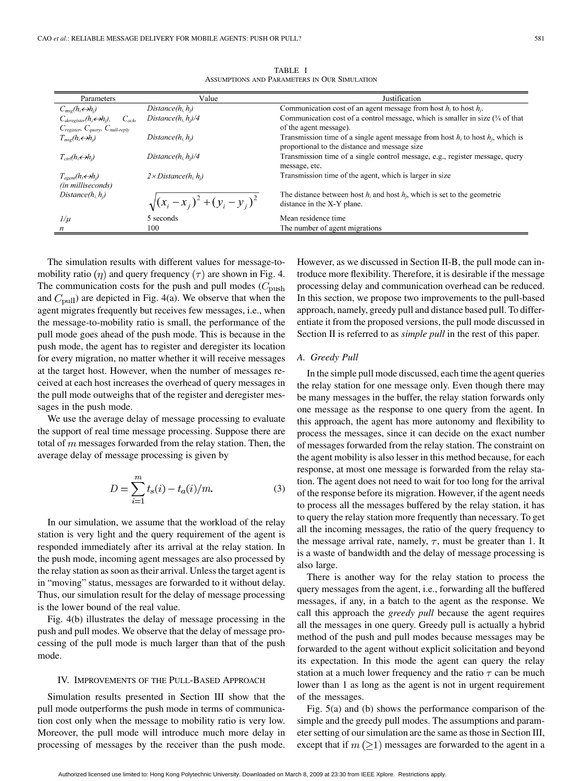| Parameters                                                      | Value                                  | Justification                                                                                                                         |
|-----------------------------------------------------------------|----------------------------------------|---------------------------------------------------------------------------------------------------------------------------------------|
| $C_{mse}(h_i \leftrightarrow h_i)$                              | $Distance(h_i, h_i)$                   | Communication cost of an agent message from host $h_i$ to host $h_i$ .                                                                |
| $C_{\text{deregister}}(h_i \leftrightarrow h_i)$ ,<br>$C_{ack}$ | Distance( $h_i$ , $h_j$ )/4            | Communication cost of a control message, which is smaller in size $\frac{1}{4}$ of that                                               |
| $C_{register}$ , $C_{auerv}$ , $C_{null-revlv}$                 |                                        | of the agent message).                                                                                                                |
| $T_{mse}(h_i \leftrightarrow h_i)$                              | $Distance(h_i, h_i)$                   | Transmission time of a single agent message from host $h_i$ to host $h_i$ , which is<br>proportional to the distance and message size |
| $T_{ctrl}(h_i \leftrightarrow h_i)$                             | Distance( $h_i$ , $h_i$ )/4            | Transmission time of a single control message, e.g., register message, query<br>message, etc.                                         |
| $T_{agent}(h_i \leftrightarrow h_i)$<br>(in milliseconds)       | $2 \times Distance(h_i, h_i)$          | Transmission time of the agent, which is larger in size                                                                               |
| $Distance(h_i, h_i)$                                            | $\sqrt{(x_i - x_j)^2 + (y_i - y_j)^2}$ | The distance between host $h_i$ and host $h_i$ , which is set to the geometric<br>distance in the X-Y plane.                          |
| $1/\mu$                                                         | 5 seconds                              | Mean residence time                                                                                                                   |
| n                                                               | 100                                    | The number of agent migrations                                                                                                        |

TABLE I ASSUMPTIONS AND PARAMETERS IN OUR SIMULATION

The simulation results with different values for message-tomobility ratio  $(\eta)$  and query frequency  $(\tau)$  are shown in Fig. 4. The communication costs for the push and pull modes  $(C_{\text{push}})$ and  $C_{\text{pull}}$ ) are depicted in Fig. 4(a). We observe that when the agent migrates frequently but receives few messages, i.e., when the message-to-mobility ratio is small, the performance of the pull mode goes ahead of the push mode. This is because in the push mode, the agent has to register and deregister its location for every migration, no matter whether it will receive messages at the target host. However, when the number of messages received at each host increases the overhead of query messages in the pull mode outweighs that of the register and deregister messages in the push mode.

We use the average delay of message processing to evaluate the support of real time message processing. Suppose there are total of  $m$  messages forwarded from the relay station. Then, the average delay of message processing is given by

$$
D = \sum_{i=1}^{m} t_s(i) - t_a(i)/m.
$$
 (3)

In our simulation, we assume that the workload of the relay station is very light and the query requirement of the agent is responded immediately after its arrival at the relay station. In the push mode, incoming agent messages are also processed by the relay station as soon as their arrival. Unless the target agent is in "moving" status, messages are forwarded to it without delay. Thus, our simulation result for the delay of message processing is the lower bound of the real value.

Fig. 4(b) illustrates the delay of message processing in the push and pull modes. We observe that the delay of message processing of the pull mode is much larger than that of the push mode.

#### IV. IMPROVEMENTS OF THE PULL-BASED APPROACH

Simulation results presented in Section III show that the pull mode outperforms the push mode in terms of communication cost only when the message to mobility ratio is very low. Moreover, the pull mode will introduce much more delay in processing of messages by the receiver than the push mode.

However, as we discussed in Section II-B, the pull mode can introduce more flexibility. Therefore, it is desirable if the message processing delay and communication overhead can be reduced. In this section, we propose two improvements to the pull-based approach, namely, greedy pull and distance based pull. To differentiate it from the proposed versions, the pull mode discussed in Section II is referred to as *simple pull* in the rest of this paper.

#### *A. Greedy Pull*

In the simple pull mode discussed, each time the agent queries the relay station for one message only. Even though there may be many messages in the buffer, the relay station forwards only one message as the response to one query from the agent. In this approach, the agent has more autonomy and flexibility to process the messages, since it can decide on the exact number of messages forwarded from the relay station. The constraint on the agent mobility is also lesser in this method because, for each response, at most one message is forwarded from the relay station. The agent does not need to wait for too long for the arrival of the response before its migration. However, if the agent needs to process all the messages buffered by the relay station, it has to query the relay station more frequently than necessary. To get all the incoming messages, the ratio of the query frequency to the message arrival rate, namely,  $\tau$ , must be greater than 1. It is a waste of bandwidth and the delay of message processing is also large.

There is another way for the relay station to process the query messages from the agent, i.e., forwarding all the buffered messages, if any, in a batch to the agent as the response. We call this approach the *greedy pull* because the agent requires all the messages in one query. Greedy pull is actually a hybrid method of the push and pull modes because messages may be forwarded to the agent without explicit solicitation and beyond its expectation. In this mode the agent can query the relay station at a much lower frequency and the ratio  $\tau$  can be much lower than 1 as long as the agent is not in urgent requirement of the messages.

Fig. 5(a) and (b) shows the performance comparison of the simple and the greedy pull modes. The assumptions and parameter setting of our simulation are the same as those in Section III, except that if  $m(>1)$  messages are forwarded to the agent in a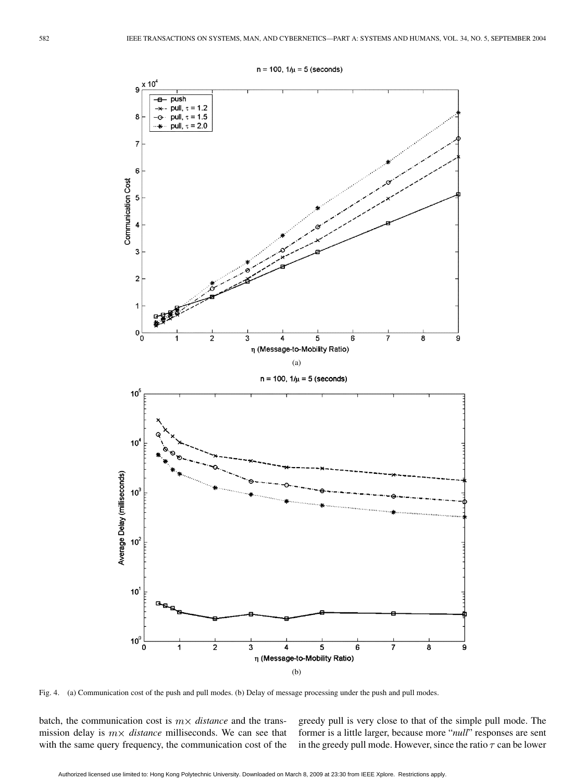

Fig. 4. (a) Communication cost of the push and pull modes. (b) Delay of message processing under the push and pull modes.

batch, the communication cost is  $m \times distance$  and the transmission delay is  $m \times distance$  milliseconds. We can see that with the same query frequency, the communication cost of the

greedy pull is very close to that of the simple pull mode. The former is a little larger, because more "*null*" responses are sent in the greedy pull mode. However, since the ratio  $\tau$  can be lower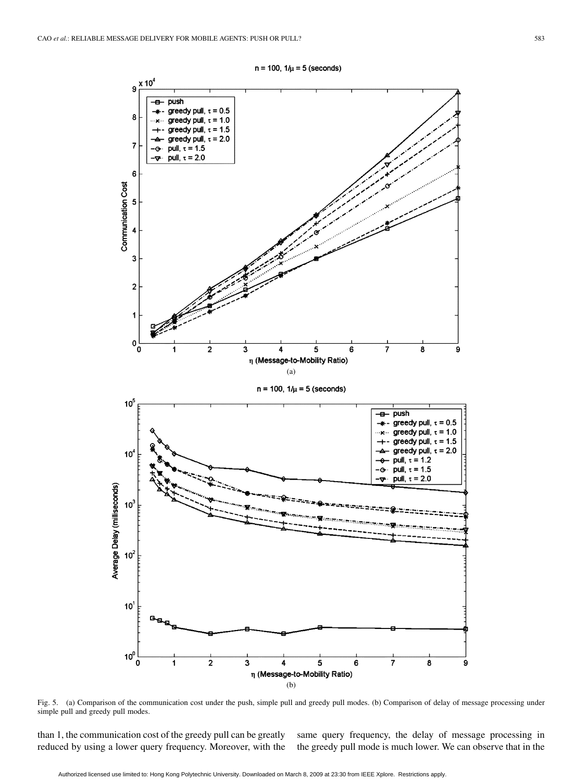



Fig. 5. (a) Comparison of the communication cost under the push, simple pull and greedy pull modes. (b) Comparison of delay of message processing under simple pull and greedy pull modes.

than 1, the communication cost of the greedy pull can be greatly reduced by using a lower query frequency. Moreover, with the same query frequency, the delay of message processing in the greedy pull mode is much lower. We can observe that in the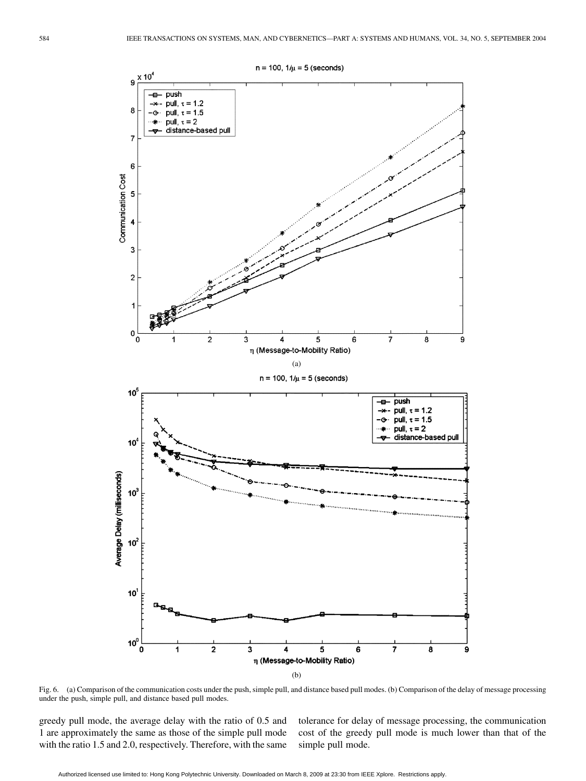

Fig. 6. (a) Comparison of the communication costs under the push, simple pull, and distance based pull modes. (b) Comparison of the delay of message processing under the push, simple pull, and distance based pull modes.

greedy pull mode, the average delay with the ratio of 0.5 and 1 are approximately the same as those of the simple pull mode with the ratio 1.5 and 2.0, respectively. Therefore, with the same tolerance for delay of message processing, the communication cost of the greedy pull mode is much lower than that of the simple pull mode.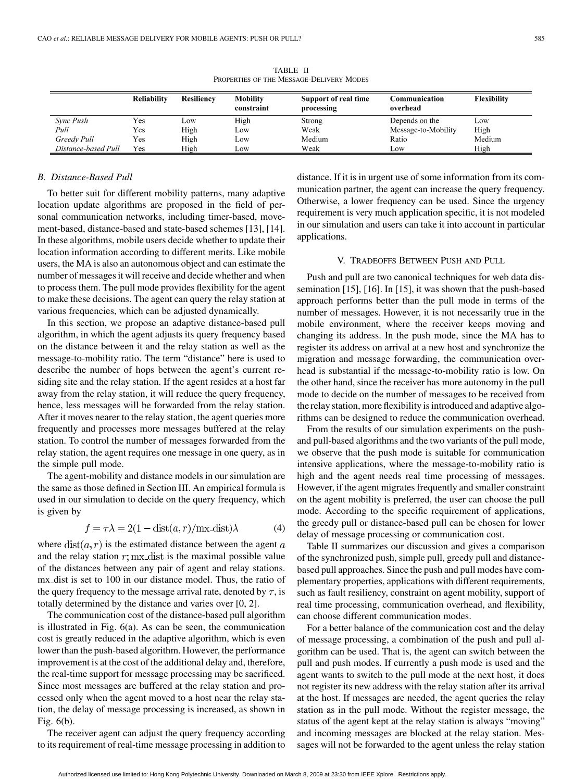|                     | <b>Reliability</b> | <b>Resiliency</b> | <b>Mobility</b><br>constraint | Support of real time<br>processing | Communication<br>overhead | Flexibility |
|---------------------|--------------------|-------------------|-------------------------------|------------------------------------|---------------------------|-------------|
| Sync Push           | Yes                | Low               | High                          | Strong                             | Depends on the            | Low         |
| Pull                | Yes                | High              | Low                           | Weak                               | Message-to-Mobility       | High        |
| Greedy Pull         | Yes                | High              | Low                           | Medium                             | Ratio                     | Medium      |
| Distance-based Pull | Yes                | High              | Low                           | Weak                               | Low                       | High        |

TABLE II PROPERTIES OF THE MESSAGE-DELIVERY MODES

# *B. Distance-Based Pull*

To better suit for different mobility patterns, many adaptive location update algorithms are proposed in the field of personal communication networks, including timer-based, movement-based, distance-based and state-based schemes [\[13](#page-9-0)], [\[14](#page-9-0)]. In these algorithms, mobile users decide whether to update their location information according to different merits. Like mobile users, the MA is also an autonomous object and can estimate the number of messages it will receive and decide whether and when to process them. The pull mode provides flexibility for the agent to make these decisions. The agent can query the relay station at various frequencies, which can be adjusted dynamically.

In this section, we propose an adaptive distance-based pull algorithm, in which the agent adjusts its query frequency based on the distance between it and the relay station as well as the message-to-mobility ratio. The term "distance" here is used to describe the number of hops between the agent's current residing site and the relay station. If the agent resides at a host far away from the relay station, it will reduce the query frequency, hence, less messages will be forwarded from the relay station. After it moves nearer to the relay station, the agent queries more frequently and processes more messages buffered at the relay station. To control the number of messages forwarded from the relay station, the agent requires one message in one query, as in the simple pull mode.

The agent-mobility and distance models in our simulation are the same as those defined in Section III. An empirical formula is used in our simulation to decide on the query frequency, which is given by

$$
f = \tau \lambda = 2(1 - \text{dist}(a, r) / \text{mx dist})\lambda
$$
 (4)

where  $dist(a, r)$  is the estimated distance between the agent a and the relay station  $r$ ; mx dist is the maximal possible value of the distances between any pair of agent and relay stations. mx dist is set to 100 in our distance model. Thus, the ratio of the query frequency to the message arrival rate, denoted by  $\tau$ , is totally determined by the distance and varies over [0, 2].

The communication cost of the distance-based pull algorithm is illustrated in Fig. 6(a). As can be seen, the communication cost is greatly reduced in the adaptive algorithm, which is even lower than the push-based algorithm. However, the performance improvement is at the cost of the additional delay and, therefore, the real-time support for message processing may be sacrificed. Since most messages are buffered at the relay station and processed only when the agent moved to a host near the relay station, the delay of message processing is increased, as shown in Fig. 6(b).

The receiver agent can adjust the query frequency according to its requirement of real-time message processing in addition to distance. If it is in urgent use of some information from its communication partner, the agent can increase the query frequency. Otherwise, a lower frequency can be used. Since the urgency requirement is very much application specific, it is not modeled in our simulation and users can take it into account in particular applications.

# V. TRADEOFFS BETWEEN PUSH AND PULL

Push and pull are two canonical techniques for web data dissemination [\[15](#page-9-0)], [[16\]](#page-9-0). In [[15\]](#page-9-0), it was shown that the push-based approach performs better than the pull mode in terms of the number of messages. However, it is not necessarily true in the mobile environment, where the receiver keeps moving and changing its address. In the push mode, since the MA has to register its address on arrival at a new host and synchronize the migration and message forwarding, the communication overhead is substantial if the message-to-mobility ratio is low. On the other hand, since the receiver has more autonomy in the pull mode to decide on the number of messages to be received from the relay station, more flexibility is introduced and adaptive algorithms can be designed to reduce the communication overhead.

From the results of our simulation experiments on the pushand pull-based algorithms and the two variants of the pull mode, we observe that the push mode is suitable for communication intensive applications, where the message-to-mobility ratio is high and the agent needs real time processing of messages. However, if the agent migrates frequently and smaller constraint on the agent mobility is preferred, the user can choose the pull mode. According to the specific requirement of applications, the greedy pull or distance-based pull can be chosen for lower delay of message processing or communication cost.

Table II summarizes our discussion and gives a comparison of the synchronized push, simple pull, greedy pull and distancebased pull approaches. Since the push and pull modes have complementary properties, applications with different requirements, such as fault resiliency, constraint on agent mobility, support of real time processing, communication overhead, and flexibility, can choose different communication modes.

For a better balance of the communication cost and the delay of message processing, a combination of the push and pull algorithm can be used. That is, the agent can switch between the pull and push modes. If currently a push mode is used and the agent wants to switch to the pull mode at the next host, it does not register its new address with the relay station after its arrival at the host. If messages are needed, the agent queries the relay station as in the pull mode. Without the register message, the status of the agent kept at the relay station is always "moving" and incoming messages are blocked at the relay station. Messages will not be forwarded to the agent unless the relay station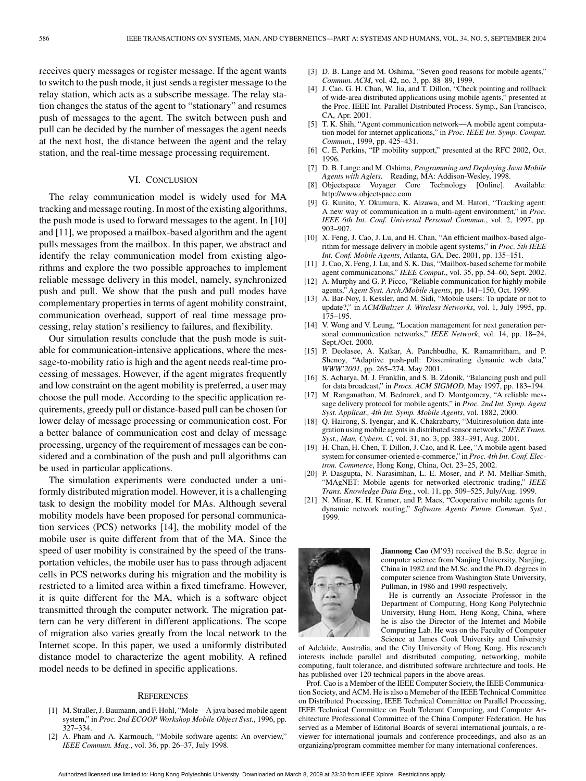<span id="page-9-0"></span>receives query messages or register message. If the agent wants to switch to the push mode, it just sends a register message to the relay station, which acts as a subscribe message. The relay station changes the status of the agent to "stationary" and resumes push of messages to the agent. The switch between push and pull can be decided by the number of messages the agent needs at the next host, the distance between the agent and the relay station, and the real-time message processing requirement.

# VI. CONCLUSION

The relay communication model is widely used for MA tracking and message routing. In most of the existing algorithms, the push mode is used to forward messages to the agent. In [10] and [11], we proposed a mailbox-based algorithm and the agent pulls messages from the mailbox. In this paper, we abstract and identify the relay communication model from existing algorithms and explore the two possible approaches to implement reliable message delivery in this model, namely, synchronized push and pull. We show that the push and pull modes have complementary properties in terms of agent mobility constraint, communication overhead, support of real time message processing, relay station's resiliency to failures, and flexibility.

Our simulation results conclude that the push mode is suitable for communication-intensive applications, where the message-to-mobility ratio is high and the agent needs real-time processing of messages. However, if the agent migrates frequently and low constraint on the agent mobility is preferred, a user may choose the pull mode. According to the specific application requirements, greedy pull or distance-based pull can be chosen for lower delay of message processing or communication cost. For a better balance of communication cost and delay of message processing, urgency of the requirement of messages can be considered and a combination of the push and pull algorithms can be used in particular applications.

The simulation experiments were conducted under a uniformly distributed migration model. However, it is a challenging task to design the mobility model for MAs. Although several mobility models have been proposed for personal communication services (PCS) networks [14], the mobility model of the mobile user is quite different from that of the MA. Since the speed of user mobility is constrained by the speed of the transportation vehicles, the mobile user has to pass through adjacent cells in PCS networks during his migration and the mobility is restricted to a limited area within a fixed timeframe. However, it is quite different for the MA, which is a software object transmitted through the computer network. The migration pattern can be very different in different applications. The scope of migration also varies greatly from the local network to the Internet scope. In this paper, we used a uniformly distributed distance model to characterize the agent mobility. A refined model needs to be defined in specific applications.

#### **REFERENCES**

- [1] M. Straßer, J. Baumann, and F. Hohl, "Mole—A java based mobile agent system," in *Proc. 2nd ECOOP Workshop Mobile Object Syst.*, 1996, pp. 327–334.
- [2] A. Pham and A. Karmouch, "Mobile software agents: An overview," *IEEE Commun. Mag.*, vol. 36, pp. 26–37, July 1998.
- [3] D. B. Lange and M. Oshima, "Seven good reasons for mobile agents," *Commun. ACM*, vol. 42, no. 3, pp. 88–89, 1999.
- [4] J. Cao, G. H. Chan, W. Jia, and T. Dillon, "Check pointing and rollback of wide-area distributed applications using mobile agents," presented at the Proc. IEEE Int. Parallel Distributed Process. Symp., San Francisco, CA, Apr. 2001.
- [5] T. K. Shih, "Agent communication network—A mobile agent computation model for internet applications," in *Proc. IEEE Int. Symp. Comput. Commun.*, 1999, pp. 425–431.
- [6] C. E. Perkins, "IP mobility support," presented at the RFC 2002, Oct. 1996.
- [7] D. B. Lange and M. Oshima, *Programming and Deploying Java Mobile Agents with Aglets*. Reading, MA: Addison-Wesley, 1998.
- [8] Objectspace Voyager Core Technology [Online]. Available: http://www.objectspace.com
- [9] G. Kunito, Y. Okumura, K. Aizawa, and M. Hatori, "Tracking agent: A new way of communication in a multi-agent environment," in *Proc. IEEE 6th Int. Conf. Universal Personal Commun.*, vol. 2, 1997, pp. 903–907.
- [10] X. Feng, J. Cao, J. Lu, and H. Chan, "An efficient mailbox-based algorithm for message delivery in mobile agent systems," in *Proc. 5th IEEE Int. Conf. Mobile Agents*, Atlanta, GA, Dec. 2001, pp. 135–151.
- [11] J. Cao, X. Feng, J. Lu, and S. K. Das, "Mailbox-based scheme for mobile agent communications," *IEEE Comput.*, vol. 35, pp. 54–60, Sept. 2002.
- [12] A. Murphy and G. P. Picco, "Reliable communication for highly mobile agents," *Agent Syst. Arch./Mobile Agents*, pp. 141–150, Oct. 1999.
- [13] A. Bar-Noy, I. Kessler, and M. Sidi, "Mobile users: To update or not to update?," in *ACM/Baltzer J. Wireless Networks*, vol. 1, July 1995, pp. 175–195.
- [14] V. Wong and V. Leung, "Location management for next generation personal communication networks," *IEEE Network*, vol. 14, pp. 18–24, Sept./Oct. 2000.
- [15] P. Deolasee, A. Katkar, A. Panchbudhe, K. Ramamritham, and P. Shenoy, "Adaptive push-pull: Disseminating dynamic web data," *WWW'2001*, pp. 265–274, May 2001.
- [16] S. Acharya, M. J. Franklin, and S. B. Zdonik, "Balancing push and pull for data broadcast," in *Procs. ACM SIGMOD*, May 1997, pp. 183–194.
- [17] M. Ranganathan, M. Bednarek, and D. Montgomery, "A reliable message delivery protocol for mobile agents," in *Proc. 2nd Int. Symp. Agent Syst. Applicat., 4th Int. Symp. Mobile Agents*, vol. 1882, 2000.
- [18] Q. Hairong, S. Iyengar, and K. Chakrabarty, "Multiresolution data integration using mobile agents in distributed sensor networks," *IEEE Trans. Syst., Man, Cybern. C*, vol. 31, no. 3, pp. 383–391, Aug. 2001.
- [19] H. Chan, H. Chen, T. Dillon, J. Cao, and R. Lee, "A mobile agent-based system for consumer-oriented e-commerce," in *Proc. 4th Int. Conf. Electron. Commerce*, Hong Kong, China, Oct. 23–25, 2002.
- [20] P. Dasgupta, N. Narasimhan, L. E. Moser, and P. M. Melliar-Smith, "MAgNET: Mobile agents for networked electronic trading," *IEEE Trans. Knowledge Data Eng.*, vol. 11, pp. 509–525, July/Aug. 1999.
- [21] N. Minar, K. H. Kramer, and P. Maes, "Cooperative mobile agents for dynamic network routing," *Software Agents Future Commun. Syst.*, 1999.



**Jiannong Cao** (M'93) received the B.Sc. degree in computer science from Nanjing University, Nanjing, China in 1982 and the M.Sc. and the Ph.D. degrees in computer science from Washington State University, Pullman, in 1986 and 1990 respectively.

He is currently an Associate Professor in the Department of Computing, Hong Kong Polytechnic University, Hung Hom, Hong Kong, China, where he is also the Director of the Internet and Mobile Computing Lab. He was on the Faculty of Computer Science at James Cook University and University

of Adelaide, Australia, and the City University of Hong Kong. His research interests include parallel and distributed computing, networking, mobile computing, fault tolerance, and distributed software architecture and tools. He has published over 120 technical papers in the above areas.

Prof. Cao is a Member of the IEEE Computer Society, the IEEE Communication Society, and ACM. He is also a Memeber of the IEEE Technical Committee on Distributed Processing, IEEE Technical Committee on Parallel Processing, IEEE Technical Committee on Fault Tolerant Computing, and Computer Architecture Professional Committee of the China Computer Federation. He has served as a Member of Editorial Boards of several international journals, a reviewer for international journals and conference proceedings, and also as an organizing/program committee member for many international conferences.